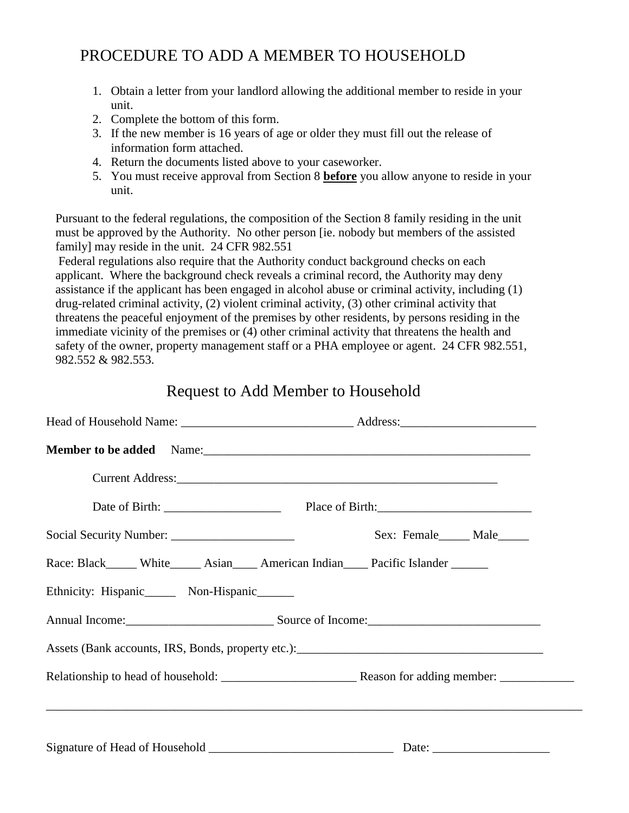# PROCEDURE TO ADD A MEMBER TO HOUSEHOLD

- 1. Obtain a letter from your landlord allowing the additional member to reside in your unit.
- 2. Complete the bottom of this form.
- 3. If the new member is 16 years of age or older they must fill out the release of information form attached.
- 4. Return the documents listed above to your caseworker.
- 5. You must receive approval from Section 8 **before** you allow anyone to reside in your unit.

Pursuant to the federal regulations, the composition of the Section 8 family residing in the unit must be approved by the Authority. No other person [ie. nobody but members of the assisted family] may reside in the unit. 24 CFR 982.551

Federal regulations also require that the Authority conduct background checks on each applicant. Where the background check reveals a criminal record, the Authority may deny assistance if the applicant has been engaged in alcohol abuse or criminal activity, including (1) drug-related criminal activity, (2) violent criminal activity, (3) other criminal activity that threatens the peaceful enjoyment of the premises by other residents, by persons residing in the immediate vicinity of the premises or (4) other criminal activity that threatens the health and safety of the owner, property management staff or a PHA employee or agent. 24 CFR 982.551, 982.552 & 982.553.

## Request to Add Member to Household

| Member to be added Name:                                                           |                              |  |  |
|------------------------------------------------------------------------------------|------------------------------|--|--|
| Current Address:                                                                   |                              |  |  |
|                                                                                    |                              |  |  |
|                                                                                    | Sex: Female______ Male______ |  |  |
| Race: Black_____ White______ Asian____ American Indian____ Pacific Islander ______ |                              |  |  |
| Ethnicity: Hispanic_______ Non-Hispanic______                                      |                              |  |  |
| Annual Income: Source of Income: Source of Income:                                 |                              |  |  |
|                                                                                    |                              |  |  |
|                                                                                    |                              |  |  |
|                                                                                    |                              |  |  |
|                                                                                    |                              |  |  |